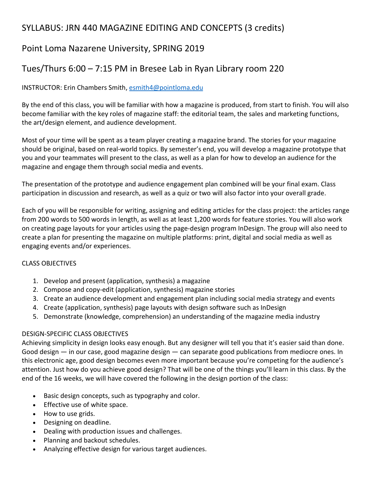# SYLLABUS: JRN 440 MAGAZINE EDITING AND CONCEPTS (3 credits)

# Point Loma Nazarene University, SPRING 2019

# Tues/Thurs 6:00 – 7:15 PM in Bresee Lab in Ryan Library room 220

## INSTRUCTOR: Erin Chambers Smith, [esmith4@pointloma.edu](mailto:esmith4@pointloma.edu)

By the end of this class, you will be familiar with how a magazine is produced, from start to finish. You will also become familiar with the key roles of magazine staff: the editorial team, the sales and marketing functions, the art/design element, and audience development.

Most of your time will be spent as a team player creating a magazine brand. The stories for your magazine should be original, based on real-world topics. By semester's end, you will develop a magazine prototype that you and your teammates will present to the class, as well as a plan for how to develop an audience for the magazine and engage them through social media and events.

The presentation of the prototype and audience engagement plan combined will be your final exam. Class participation in discussion and research, as well as a quiz or two will also factor into your overall grade.

Each of you will be responsible for writing, assigning and editing articles for the class project: the articles range from 200 words to 500 words in length, as well as at least 1,200 words for feature stories. You will also work on creating page layouts for your articles using the page-design program InDesign. The group will also need to create a plan for presenting the magazine on multiple platforms: print, digital and social media as well as engaging events and/or experiences.

## CLASS OBJECTIVES

- 1. Develop and present (application, synthesis) a magazine
- 2. Compose and copy-edit (application, synthesis) magazine stories
- 3. Create an audience development and engagement plan including social media strategy and events
- 4. Create (application, synthesis) page layouts with design software such as InDesign
- 5. Demonstrate (knowledge, comprehension) an understanding of the magazine media industry

## DESIGN-SPECIFIC CLASS OBJECTIVES

Achieving simplicity in design looks easy enough. But any designer will tell you that it's easier said than done. Good design — in our case, good magazine design — can separate good publications from mediocre ones. In this electronic age, good design becomes even more important because you're competing for the audience's attention. Just how do you achieve good design? That will be one of the things you'll learn in this class. By the end of the 16 weeks, we will have covered the following in the design portion of the class:

- Basic design concepts, such as typography and color.
- Effective use of white space.
- How to use grids.
- Designing on deadline.
- Dealing with production issues and challenges.
- Planning and backout schedules.
- Analyzing effective design for various target audiences.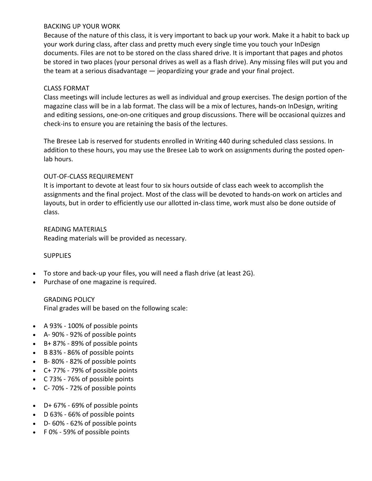### BACKING UP YOUR WORK

Because of the nature of this class, it is very important to back up your work. Make it a habit to back up your work during class, after class and pretty much every single time you touch your InDesign documents. Files are not to be stored on the class shared drive. It is important that pages and photos be stored in two places (your personal drives as well as a flash drive). Any missing files will put you and the team at a serious disadvantage — jeopardizing your grade and your final project.

## CLASS FORMAT

Class meetings will include lectures as well as individual and group exercises. The design portion of the magazine class will be in a lab format. The class will be a mix of lectures, hands-on InDesign, writing and editing sessions, one-on-one critiques and group discussions. There will be occasional quizzes and check-ins to ensure you are retaining the basis of the lectures.

The Bresee Lab is reserved for students enrolled in Writing 440 during scheduled class sessions. In addition to these hours, you may use the Bresee Lab to work on assignments during the posted openlab hours.

## OUT-OF-CLASS REQUIREMENT

It is important to devote at least four to six hours outside of class each week to accomplish the assignments and the final project. Most of the class will be devoted to hands-on work on articles and layouts, but in order to efficiently use our allotted in-class time, work must also be done outside of class.

READING MATERIALS Reading materials will be provided as necessary.

## **SUPPLIES**

- To store and back-up your files, you will need a flash drive (at least 2G).
- Purchase of one magazine is required.

GRADING POLICY Final grades will be based on the following scale:

- A 93% 100% of possible points
- A- 90% 92% of possible points
- B+ 87% 89% of possible points
- B 83% 86% of possible points
- B- 80% 82% of possible points
- C+ 77% 79% of possible points
- C 73% 76% of possible points
- C- 70% 72% of possible points
- D+ 67% 69% of possible points
- D 63% 66% of possible points
- D- 60% 62% of possible points
- F 0% 59% of possible points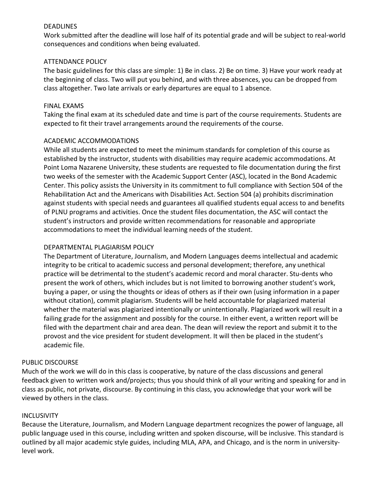### DEADLINES

Work submitted after the deadline will lose half of its potential grade and will be subject to real-world consequences and conditions when being evaluated.

## ATTENDANCE POLICY

The basic guidelines for this class are simple: 1) Be in class. 2) Be on time. 3) Have your work ready at the beginning of class. Two will put you behind, and with three absences, you can be dropped from class altogether. Two late arrivals or early departures are equal to 1 absence.

### FINAL EXAMS

Taking the final exam at its scheduled date and time is part of the course requirements. Students are expected to fit their travel arrangements around the requirements of the course.

## ACADEMIC ACCOMMODATIONS

While all students are expected to meet the minimum standards for completion of this course as established by the instructor, students with disabilities may require academic accommodations. At Point Loma Nazarene University, these students are requested to file documentation during the first two weeks of the semester with the Academic Support Center (ASC), located in the Bond Academic Center. This policy assists the University in its commitment to full compliance with Section 504 of the Rehabilitation Act and the Americans with Disabilities Act. Section 504 (a) prohibits discrimination against students with special needs and guarantees all qualified students equal access to and benefits of PLNU programs and activities. Once the student files documentation, the ASC will contact the student's instructors and provide written recommendations for reasonable and appropriate accommodations to meet the individual learning needs of the student.

## DEPARTMENTAL PLAGIARISM POLICY

The Department of Literature, Journalism, and Modern Languages deems intellectual and academic integrity to be critical to academic success and personal development; therefore, any unethical practice will be detrimental to the student's academic record and moral character. Stu-dents who present the work of others, which includes but is not limited to borrowing another student's work, buying a paper, or using the thoughts or ideas of others as if their own (using information in a paper without citation), commit plagiarism. Students will be held accountable for plagiarized material whether the material was plagiarized intentionally or unintentionally. Plagiarized work will result in a failing grade for the assignment and possibly for the course. In either event, a written report will be filed with the department chair and area dean. The dean will review the report and submit it to the provost and the vice president for student development. It will then be placed in the student's academic file.

#### PUBLIC DISCOURSE

Much of the work we will do in this class is cooperative, by nature of the class discussions and general feedback given to written work and/projects; thus you should think of all your writing and speaking for and in class as public, not private, discourse. By continuing in this class, you acknowledge that your work will be viewed by others in the class.

#### INCLUSIVITY

Because the Literature, Journalism, and Modern Language department recognizes the power of language, all public language used in this course, including written and spoken discourse, will be inclusive. This standard is outlined by all major academic style guides, including MLA, APA, and Chicago, and is the norm in universitylevel work.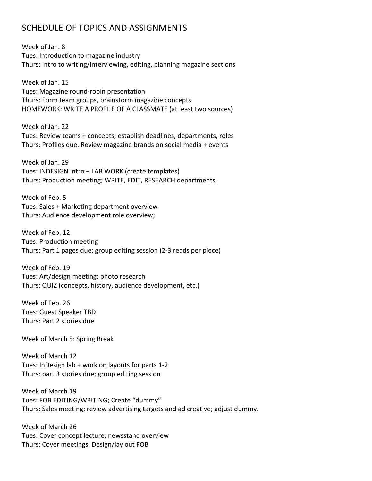## SCHEDULE OF TOPICS AND ASSIGNMENTS

Week of Jan. 8 Tues: Introduction to magazine industry Thurs: Intro to writing/interviewing, editing, planning magazine sections

Week of Jan. 15 Tues: Magazine round-robin presentation Thurs: Form team groups, brainstorm magazine concepts HOMEWORK: WRITE A PROFILE OF A CLASSMATE (at least two sources)

Week of Jan. 22 Tues: Review teams + concepts; establish deadlines, departments, roles Thurs: Profiles due. Review magazine brands on social media + events

Week of Jan. 29 Tues: INDESIGN intro + LAB WORK (create templates) Thurs: Production meeting; WRITE, EDIT, RESEARCH departments.

Week of Feb. 5 Tues: Sales + Marketing department overview Thurs: Audience development role overview;

Week of Feb. 12 Tues: Production meeting Thurs: Part 1 pages due; group editing session (2-3 reads per piece)

Week of Feb. 19 Tues: Art/design meeting; photo research Thurs: QUIZ (concepts, history, audience development, etc.)

Week of Feb. 26 Tues: Guest Speaker TBD Thurs: Part 2 stories due

Week of March 5: Spring Break

Week of March 12 Tues: InDesign lab + work on layouts for parts 1-2 Thurs: part 3 stories due; group editing session

Week of March 19 Tues: FOB EDITING/WRITING; Create "dummy" Thurs: Sales meeting; review advertising targets and ad creative; adjust dummy.

Week of March 26 Tues: Cover concept lecture; newsstand overview Thurs: Cover meetings. Design/lay out FOB